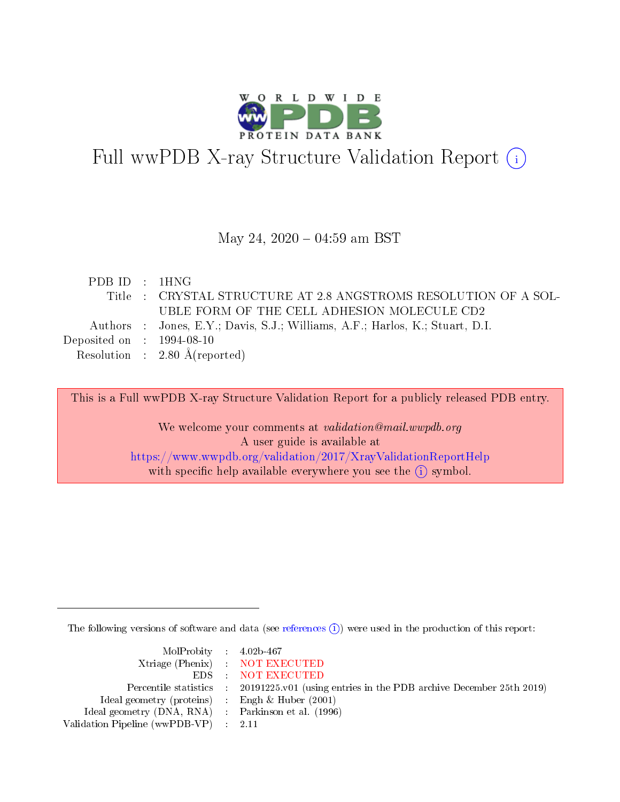

# Full wwPDB X-ray Structure Validation Report (i)

#### May 24,  $2020 - 04:59$  am BST

| PDB ID : 1HNG                  |                                                                              |
|--------------------------------|------------------------------------------------------------------------------|
|                                | Title : CRYSTAL STRUCTURE AT 2.8 ANGSTROMS RESOLUTION OF A SOL-              |
|                                | UBLE FORM OF THE CELL ADHESION MOLECULE CD2                                  |
|                                | Authors : Jones, E.Y.; Davis, S.J.; Williams, A.F.; Harlos, K.; Stuart, D.I. |
| Deposited on $\,$ : 1994-08-10 |                                                                              |
|                                | Resolution : $2.80 \text{ Å}$ (reported)                                     |

This is a Full wwPDB X-ray Structure Validation Report for a publicly released PDB entry.

We welcome your comments at validation@mail.wwpdb.org A user guide is available at <https://www.wwpdb.org/validation/2017/XrayValidationReportHelp> with specific help available everywhere you see the  $(i)$  symbol.

The following versions of software and data (see [references](https://www.wwpdb.org/validation/2017/XrayValidationReportHelp#references)  $\overline{(1)}$ ) were used in the production of this report:

| $MolProbability$ 4.02b-467                          |                                                                    |
|-----------------------------------------------------|--------------------------------------------------------------------|
|                                                     | Xtriage (Phenix) NOT EXECUTED                                      |
|                                                     | EDS : NOT EXECUTED                                                 |
| Percentile statistics :                             | 20191225.v01 (using entries in the PDB archive December 25th 2019) |
| Ideal geometry (proteins) :                         | Engh $\&$ Huber (2001)                                             |
| Ideal geometry (DNA, RNA) : Parkinson et al. (1996) |                                                                    |
| Validation Pipeline (wwPDB-VP) : 2.11               |                                                                    |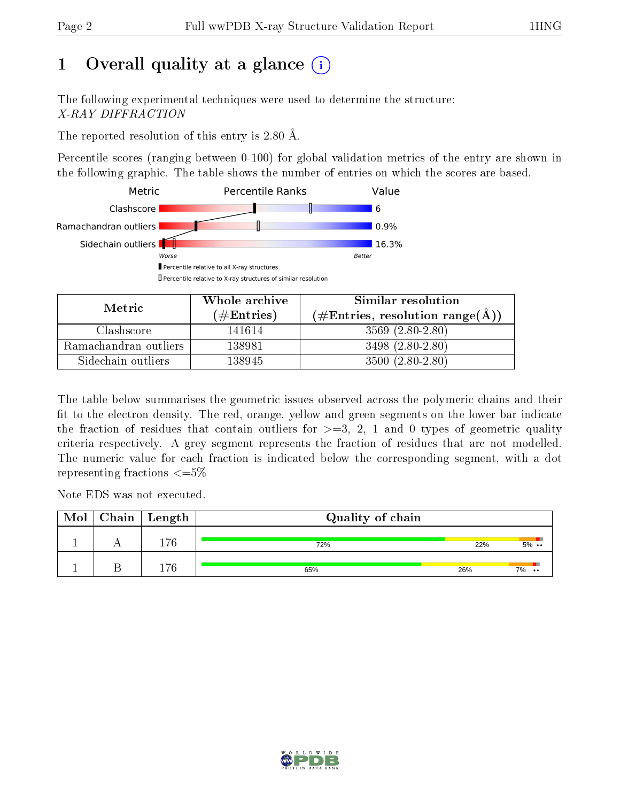# 1 [O](https://www.wwpdb.org/validation/2017/XrayValidationReportHelp#overall_quality)verall quality at a glance  $(i)$

The following experimental techniques were used to determine the structure: X-RAY DIFFRACTION

The reported resolution of this entry is 2.80 Å.

Percentile scores (ranging between 0-100) for global validation metrics of the entry are shown in the following graphic. The table shows the number of entries on which the scores are based.



| Metric                | Whole archive       | Similar resolution                                 |  |  |
|-----------------------|---------------------|----------------------------------------------------|--|--|
|                       | (# $\rm{Entries}$ ) | $(\text{\#Entries, resolution range}(\text{\AA}))$ |  |  |
| Clashscore            | 141614              | $3569(2.80-2.80)$                                  |  |  |
| Ramachandran outliers | 138981              | $3498(2.80-2.80)$                                  |  |  |
| Sidechain outliers    | 138945              | $3500(2.80-2.80)$                                  |  |  |

The table below summarises the geometric issues observed across the polymeric chains and their fit to the electron density. The red, orange, yellow and green segments on the lower bar indicate the fraction of residues that contain outliers for  $\geq=3$ , 2, 1 and 0 types of geometric quality criteria respectively. A grey segment represents the fraction of residues that are not modelled. The numeric value for each fraction is indicated below the corresponding segment, with a dot representing fractions  $\epsilon = 5\%$ 

Note EDS was not executed.

| Mol | $Chain$ Length | Quality of chain |     |                        |  |
|-----|----------------|------------------|-----|------------------------|--|
|     | 176            | 72%              | 22% | $5\%$ .                |  |
|     | 176            | 65%              | 26% | 7%<br>$\bullet\bullet$ |  |

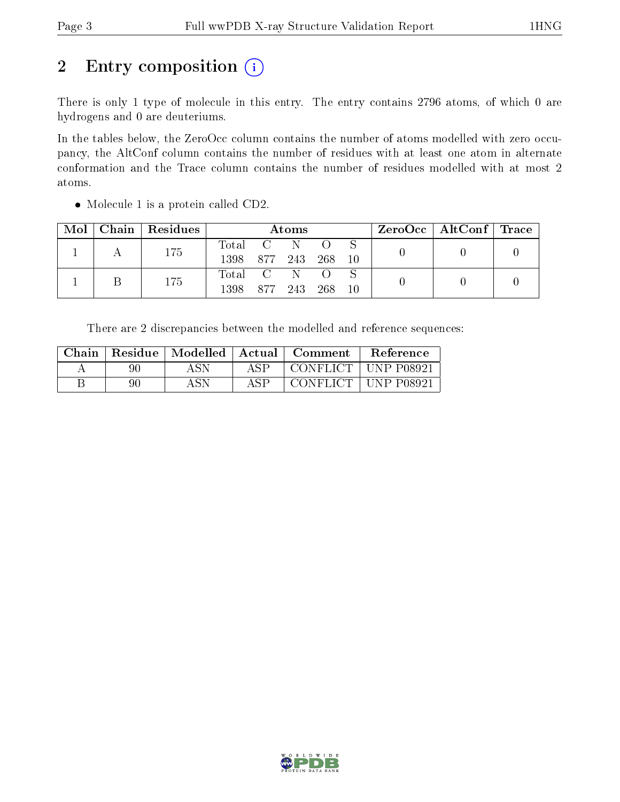# 2 Entry composition (i)

There is only 1 type of molecule in this entry. The entry contains 2796 atoms, of which 0 are hydrogens and 0 are deuteriums.

In the tables below, the ZeroOcc column contains the number of atoms modelled with zero occupancy, the AltConf column contains the number of residues with at least one atom in alternate conformation and the Trace column contains the number of residues modelled with at most 2 atoms.

| Mol | Chain   Residues | Atoms            |             |  |           |                 |  | ZeroOcc   AltConf   Trace |  |
|-----|------------------|------------------|-------------|--|-----------|-----------------|--|---------------------------|--|
|     | 175              | Total C          |             |  |           |                 |  |                           |  |
|     |                  | 1398 877 243 268 |             |  |           | $\overline{10}$ |  |                           |  |
|     | 175              | Total C N        |             |  | $\bigcap$ |                 |  |                           |  |
|     |                  | 1398             | 877 243 268 |  |           | $\overline{10}$ |  |                           |  |

• Molecule 1 is a protein called CD2.

There are 2 discrepancies between the modelled and reference sequences:

| Chain | Residue | Modelled | Actual | Comment         | Reference      |
|-------|---------|----------|--------|-----------------|----------------|
|       | იი      | A SN     |        | CONFLICT        | $+$ UNP P08921 |
|       | 90      | ASN      |        | <b>CONFLICT</b> | UNP $P08921$   |

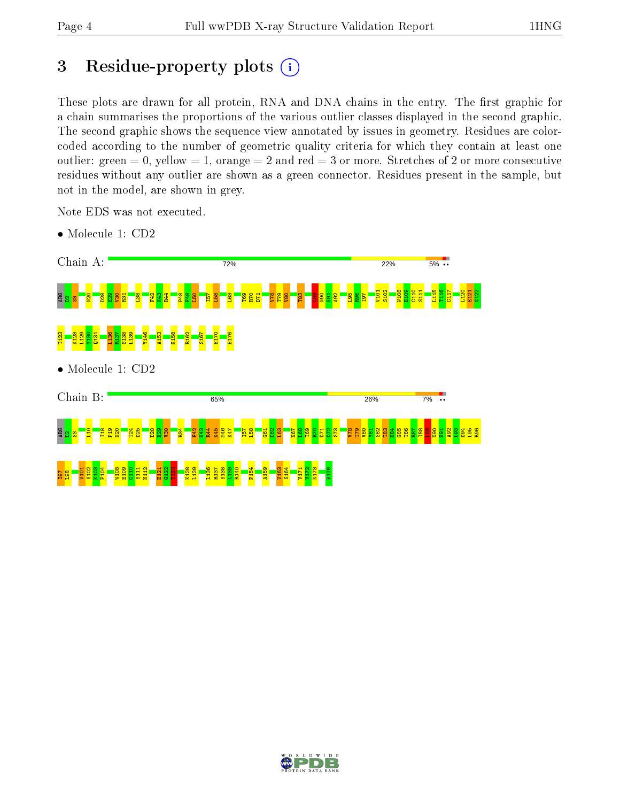# 3 Residue-property plots  $(i)$

These plots are drawn for all protein, RNA and DNA chains in the entry. The first graphic for a chain summarises the proportions of the various outlier classes displayed in the second graphic. The second graphic shows the sequence view annotated by issues in geometry. Residues are colorcoded according to the number of geometric quality criteria for which they contain at least one outlier: green  $= 0$ , yellow  $= 1$ , orange  $= 2$  and red  $= 3$  or more. Stretches of 2 or more consecutive residues without any outlier are shown as a green connector. Residues present in the sample, but not in the model, are shown in grey.

Note EDS was not executed.



• Molecule 1: CD2

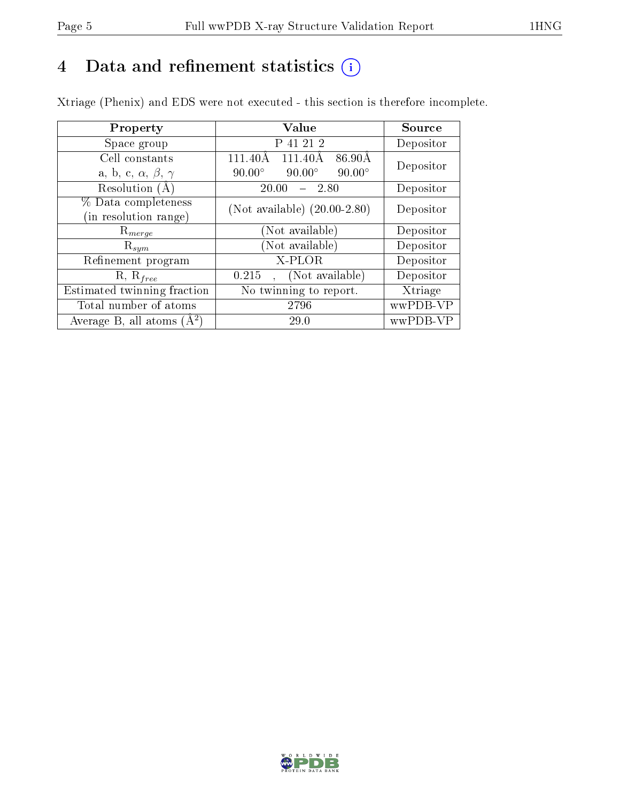# 4 Data and refinement statistics  $(i)$

Xtriage (Phenix) and EDS were not executed - this section is therefore incomplete.

| Property                               | Value                                           | Source    |
|----------------------------------------|-------------------------------------------------|-----------|
| Space group                            | P 41 21 2                                       | Depositor |
| Cell constants                         | $86.90\text{\AA}$<br>111.40Å<br>111.40Å         | Depositor |
| a, b, c, $\alpha$ , $\beta$ , $\gamma$ | $90.00^\circ$<br>$90.00^\circ$<br>$90.00^\circ$ |           |
| Resolution $(A)$                       | 20.00<br>2.80                                   | Depositor |
| % Data completeness                    | (Not available) $(20.00-2.80)$                  | Depositor |
| (in resolution range)                  |                                                 |           |
| $\mathrm{R}_{merge}$                   | (Not available)                                 | Depositor |
| $\mathrm{R}_{sym}$                     | (Not available)                                 | Depositor |
| Refinement program                     | X-PLOR                                          | Depositor |
| $R, R_{free}$                          | (Not available)<br>0.215                        | Depositor |
| Estimated twinning fraction            | No twinning to report.                          | Xtriage   |
| Total number of atoms                  | 2796                                            | wwPDB-VP  |
| Average B, all atoms $(A^2)$           | 29.0                                            | wwPDB-VP  |

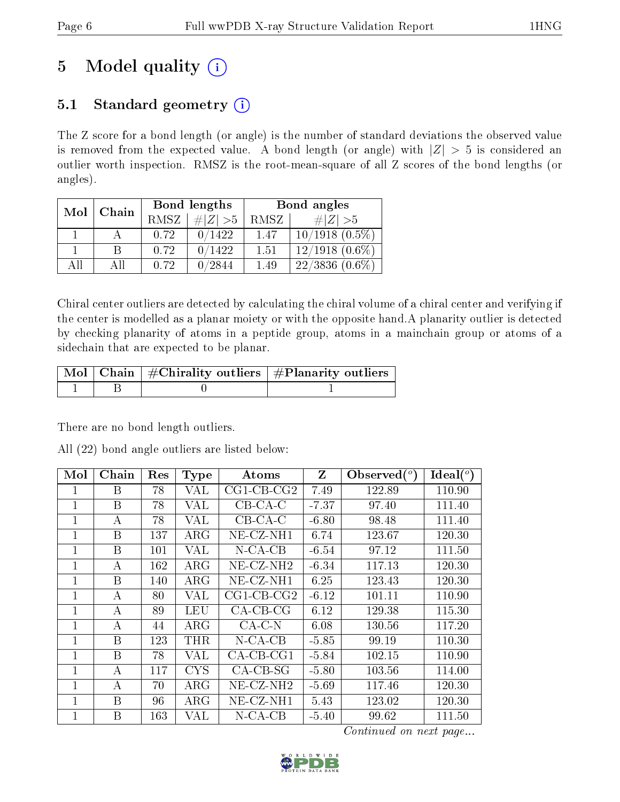# 5 Model quality  $(i)$

# 5.1 Standard geometry  $(i)$

The Z score for a bond length (or angle) is the number of standard deviations the observed value is removed from the expected value. A bond length (or angle) with  $|Z| > 5$  is considered an outlier worth inspection. RMSZ is the root-mean-square of all Z scores of the bond lengths (or angles).

| Mol | Chain |      | Bond lengths  | Bond angles |                              |  |
|-----|-------|------|---------------|-------------|------------------------------|--|
|     |       | RMSZ | $\# Z  > 5$   | RMSZ        | # $ Z  > 5$                  |  |
|     |       | 0.72 | 0/1422        | 1.47        | $10/1918(0.5\%)$             |  |
|     | R     | 0.72 | 0/1422        | 1.51        | $12/1918$ $(0.6\%)$          |  |
| ΑĦ  | ΑH    | 0.72 | $^\prime2844$ | 1.49        | $22/3836 (0.\overline{6\%})$ |  |

Chiral center outliers are detected by calculating the chiral volume of a chiral center and verifying if the center is modelled as a planar moiety or with the opposite hand.A planarity outlier is detected by checking planarity of atoms in a peptide group, atoms in a mainchain group or atoms of a sidechain that are expected to be planar.

|  | $\sqrt{\text{Mol}}$ Chain $\frac{1}{2}$ Chirality outliers $\frac{1}{2}$ Planarity outliers $\frac{1}{2}$ |
|--|-----------------------------------------------------------------------------------------------------------|
|  |                                                                                                           |

There are no bond length outliers.

All (22) bond angle outliers are listed below:

| Mol            | Chain | Res | <b>Type</b> | Atoms                    | Z       | Observed $(°)$ | Ideal $(^\circ)$ |
|----------------|-------|-----|-------------|--------------------------|---------|----------------|------------------|
| 1              | Β     | 78  | VAL         | $CG1$ - $CB$ - $CG2$     | 7.49    | 122.89         | 110.90           |
| 1              | B     | 78  | VAL         | $CB-CA-C$                | $-7.37$ | 97.40          | 111.40           |
| $\mathbf{1}$   | А     | 78  | VAL         | $CB-CA-C$                | $-6.80$ | 98.48          | 111.40           |
| 1              | B     | 137 | $\rm{ARG}$  | $NE-CZ-NH1$              | 6.74    | 123.67         | 120.30           |
| $\mathbf{1}$   | B     | 101 | VAL         | $N$ -CA-CB               | $-6.54$ | 97.12          | 111.50           |
| $\mathbf 1$    | А     | 162 | $\rm{ARG}$  | $NE- CZ-NH2$             | $-6.34$ | 117.13         | 120.30           |
| 1              | B     | 140 | $\rm{ARG}$  | $NE- CZ-NH1$             | 6.25    | 123.43         | 120.30           |
| $\overline{1}$ | A     | 80  | VAL         | $CG1$ - $CB$ - $CG2$     | $-6.12$ | 101.11         | 110.90           |
| $\overline{1}$ | А     | 89  | LEU         | $CA-CB-CG$               | 6.12    | 129.38         | 115.30           |
| $\mathbf{1}$   | А     | 44  | $\rm{ARG}$  | $CA-C-N$                 | 6.08    | 130.56         | 117.20           |
| $\mathbf{1}$   | B     | 123 | THR         | $N$ -CA-CB               | $-5.85$ | 99.19          | 110.30           |
| 1              | B     | 78  | VAL         | $CA$ -CB-CG1             | $-5.84$ | 102.15         | 110.90           |
| 1              | А     | 117 | <b>CYS</b>  | $CA-CB-SG$               | $-5.80$ | 103.56         | 114.00           |
| $\mathbf{1}$   | А     | 70  | $\rm{ARG}$  | $NE$ -CZ-NH <sub>2</sub> | $-5.69$ | 117.46         | 120.30           |
| $\mathbf{1}$   | B     | 96  | $\rm{ARG}$  | $NE-CZ-NH1$              | 5.43    | 123.02         | 120.30           |
| 1              | B     | 163 | VAL         | $N$ -CA-CB               | $-5.40$ | 99.62          | 111.50           |

Continued on next page...

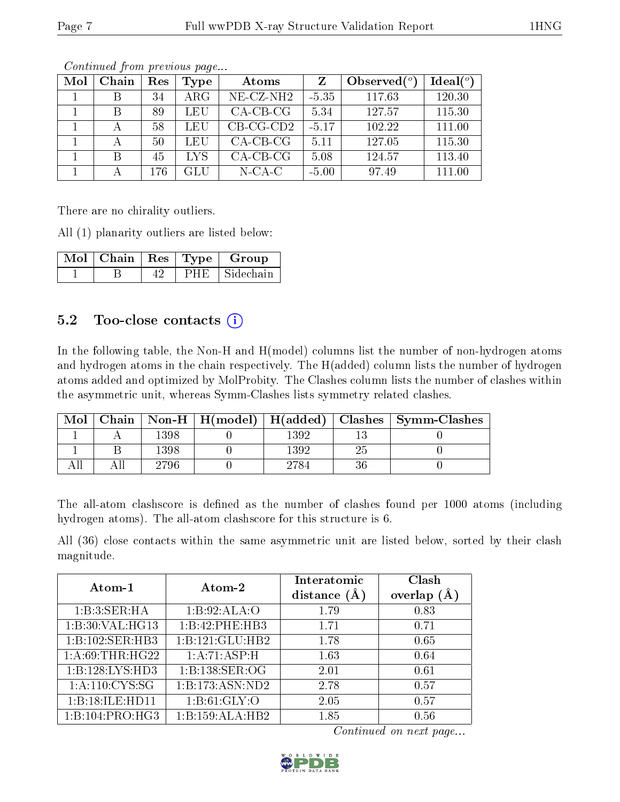| Mol | Chain | Res | Type       | Atoms        | Z       | Observed $(°)$ | Ideal $(°)$ |
|-----|-------|-----|------------|--------------|---------|----------------|-------------|
|     | В     | 34  | $\rm{ARG}$ | $NE- CZ-NH2$ | $-5.35$ | 117.63         | 120.30      |
|     | В     | 89  | LEU        | $CA-CB-CG$   | 5.34    | 127.57         | 115.30      |
|     |       | 58  | LEU        | $CB-CG-CD2$  | $-5.17$ | 102.22         | 111.00      |
|     |       | 50  | LEU        | $CA-CB-CG$   | 5.11    | 127.05         | 115.30      |
|     | В     | 45  | LYS.       | $CA-CB-CG$   | 5.08    | 124.57         | 113.40      |
|     |       | 176 | GLU        | $N$ -CA-C    | $-5.00$ | 97.49          | 111.00      |

Continued from previous page...

There are no chirality outliers.

All (1) planarity outliers are listed below:

|  |     | $\mathbb{N}$ ol $\mid$ Chain $\mid$ Res $\mid$ Type $\mid$ Group |
|--|-----|------------------------------------------------------------------|
|  | PHE | Sidechain                                                        |

# 5.2 Too-close contacts  $(i)$

In the following table, the Non-H and H(model) columns list the number of non-hydrogen atoms and hydrogen atoms in the chain respectively. The H(added) column lists the number of hydrogen atoms added and optimized by MolProbity. The Clashes column lists the number of clashes within the asymmetric unit, whereas Symm-Clashes lists symmetry related clashes.

| Mol |      |      | Chain   Non-H   $H(model)$   $H(added)$   Clashes   Symm-Clashes |
|-----|------|------|------------------------------------------------------------------|
|     | 1398 | 1392 |                                                                  |
|     | 1398 | 1392 |                                                                  |
|     | 2796 |      |                                                                  |

The all-atom clashscore is defined as the number of clashes found per 1000 atoms (including hydrogen atoms). The all-atom clashscore for this structure is 6.

All (36) close contacts within the same asymmetric unit are listed below, sorted by their clash magnitude.

| Atom-1             | Atom-2          | Interatomic    | Clash   |
|--------------------|-----------------|----------------|---------|
|                    |                 | distance $(A)$ | overlap |
| 1:B:3:SER:HA       | 1:B:92:ALA:O    | 1.79           | 0.83    |
| 1:B:30:VAL:HG13    | 1:B:42:PHE:HB3  | 1.71           | 0.71    |
| 1:B:102:SER:HB3    | 1:B:121:GLU:HB2 | 1.78           | 0.65    |
| 1: A:69:THR:HG22   | 1:A:71:ASP:H    | 1.63           | 0.64    |
| 1:B:128:LYS:HD3    | 1:B:138:SER:OG  | 2.01           | 0.61    |
| 1: A: 110: CYS: SG | 1:B:173:ASN:ND2 | 2.78           | 0.57    |
| 1:B:18:ILE:HD11    | 1: B:61: GLY:O  | 2.05           | 0.57    |
| 1:B:104:PRO:HG3    | 1:B:159:ALA:HB2 | 1.85           | 0.56    |

Continued on next page...

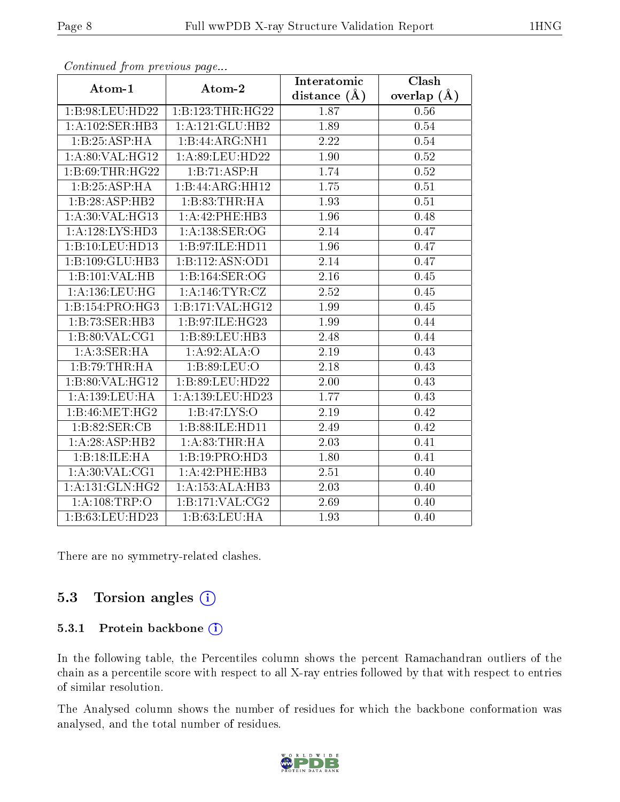| . <i>. .</i>       | $\cdots$ $\cdots$ $\cdots$              | Interatomic    | Clash         |
|--------------------|-----------------------------------------|----------------|---------------|
| Atom-1             | Atom-2                                  | distance $(A)$ | overlap $(A)$ |
|                    | $1:B:98:LEU:HD22 \mid 1:B:123:THR:HG22$ | 1.87           | 0.56          |
| 1:A:102:SER:HB3    | 1:A:121:GLU:HB2                         | 1.89           | 0.54          |
| 1:B:25:ASP:HA      | 1:B:44:ARG:NH1                          | 2.22           | 0.54          |
| 1: A:80: VAL:HG12  | 1: A:89: LEU: HD22                      | 1.90           | $0.52\,$      |
| 1:B:69:THR:HG22    | 1:B:71:ASP:H                            | 1.74           | 0.52          |
| 1:B:25:ASP:HA      | 1:B:44:ARG:HH12                         | 1.75           | 0.51          |
| 1:B:28:ASP:HB2     | 1:B:83:THR:HA                           | 1.93           | 0.51          |
| 1:A:30:VAL:HG13    | 1:A:42:PHE:HB3                          | 1.96           | 0.48          |
| 1: A:128: LYS: HD3 | 1: A: 138: SER: OG                      | 2.14           | 0.47          |
| 1:B:10:LEU:HD13    | 1:B:97:ILE:HD11                         | 1.96           | 0.47          |
| 1:B:109:GLU:HB3    | 1:B:112:ASN:OD1                         | 2.14           | 0.47          |
| 1:B:101:VAL:HB     | 1:B:164:SER:OG                          | 2.16           | 0.45          |
| 1: A: 136: LEU: HG | 1: A:146: TYR: CZ                       | 2.52           | 0.45          |
| 1:B:154:PRO:HG3    | 1:B:171:VAL:HG12                        | 1.99           | 0.45          |
| 1:B:73:SER:HB3     | 1:B:97:ILE:HG23                         | 1.99           | 0.44          |
| 1: B:80: VAL:CG1   | 1:B:89:LEU:HB3                          | 2.48           | 0.44          |
| 1:A:3:SER:HA       | 1:A:92:ALA:O                            | 2.19           | 0.43          |
| 1:B:79:THR:HA      | 1:B:89:LEU:O                            | 2.18           | 0.43          |
| 1: B:80: VAL:HG12  | 1:B:89:LEU:HD22                         | 2.00           | 0.43          |
| 1:A:139:LEU:HA     | 1: A: 139: LEU: HD23                    | 1.77           | 0.43          |
| 1: B:46: MET:HG2   | 1:BT:LYS:O                              | 2.19           | 0.42          |
| 1:B:82:SER:CB      | 1:B:88:ILE:HD11                         | 2.49           | 0.42          |
| 1:A:28:ASP:HB2     | 1: A:83:THR:HA                          | 2.03           | 0.41          |
| 1:B:18:ILE:HA      | 1:B:19:PRO:HD3                          | 1.80           | 0.41          |
| 1: A:30: VAL:CG1   | 1:A:42:PHE:HB3                          | 2.51           | 0.40          |
| 1:A:131:GLN:HG2    | 1:A:153:ALA:HB3                         | 2.03           | 0.40          |
| 1:A:108:TRP:O      | 1:B:171:VAL:CG2                         | 2.69           | 0.40          |
| 1:B:63:LEU:HD23    | 1:B:63:LEU:HA                           | 1.93           | 0.40          |

Continued from previous page...

There are no symmetry-related clashes.

### 5.3 Torsion angles  $(i)$

#### 5.3.1 Protein backbone (i)

In the following table, the Percentiles column shows the percent Ramachandran outliers of the chain as a percentile score with respect to all X-ray entries followed by that with respect to entries of similar resolution.

The Analysed column shows the number of residues for which the backbone conformation was analysed, and the total number of residues.

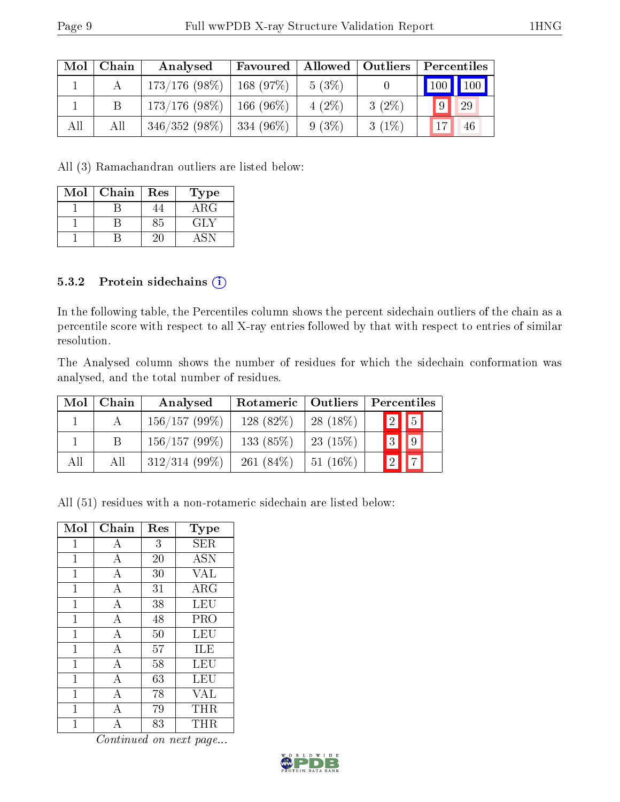| $\rm{Mol}$ | Chain | Analysed                      |          |          | Favoured   Allowed   Outliers   Percentiles |
|------------|-------|-------------------------------|----------|----------|---------------------------------------------|
|            |       | $173/176$ (98\%)   168 (97\%) | $5(3\%)$ |          | $\vert$ 100 $\vert$ 100 $\vert$             |
|            |       | $173/176$ (98\%)   166 (96\%) | $4(2\%)$ | $3(2\%)$ | 9 <br>29                                    |
| All        | All   | $346/352(98\%)$ 334 (96\%)    | $9(3\%)$ | $3(1\%)$ | 17<br>46                                    |

All (3) Ramachandran outliers are listed below:

| Mol | Chain | Res | Type        |
|-----|-------|-----|-------------|
|     |       |     | ${\rm ARG}$ |
|     |       | 85  | GLY         |
|     |       |     |             |

#### 5.3.2 Protein sidechains (i)

In the following table, the Percentiles column shows the percent sidechain outliers of the chain as a percentile score with respect to all X-ray entries followed by that with respect to entries of similar resolution.

The Analysed column shows the number of residues for which the sidechain conformation was analysed, and the total number of residues.

| Mol | Chain | Analysed        | Rotameric   Outliers |            | Percentiles      |
|-----|-------|-----------------|----------------------|------------|------------------|
|     |       | 156/157(99%)    | 128 (82\%)           | $28(18\%)$ | $\sqrt{2}$ 5     |
|     |       | 156/157(99%)    | 133 $(85%)$          | 23(15%)    | $\blacksquare$ 3 |
| All | All   | $312/314(99\%)$ | 261 $(84\%)$         | $51(16\%)$ | $\vert$ $\vert$  |

All (51) residues with a non-rotameric sidechain are listed below:

| Mol            | Chain          | Res | $_{\rm Type}$    |
|----------------|----------------|-----|------------------|
| $\overline{1}$ | А              | 3   | SER              |
| $\mathbf{1}$   | A              | 20  | $\overline{ASN}$ |
| $\overline{1}$ | A              | 30  | VAL              |
| 1              | A              | 31  | ARG              |
| $\mathbf{1}$   | $\bf{A}$       | 38  | LEU              |
| 1              | А              | 48  | PRO              |
| 1              | $\overline{A}$ | 50  | LEU              |
| $\mathbf{1}$   | $\overline{A}$ | 57  | ILE              |
| $\overline{1}$ | А              | 58  | <b>LEU</b>       |
| 1              | $\overline{A}$ | 63  | LEU              |
| $\mathbf{1}$   | А              | 78  | VAL              |
| 1              | А              | 79  | THR              |
|                |                | 83  | THR              |

Continued on next page...

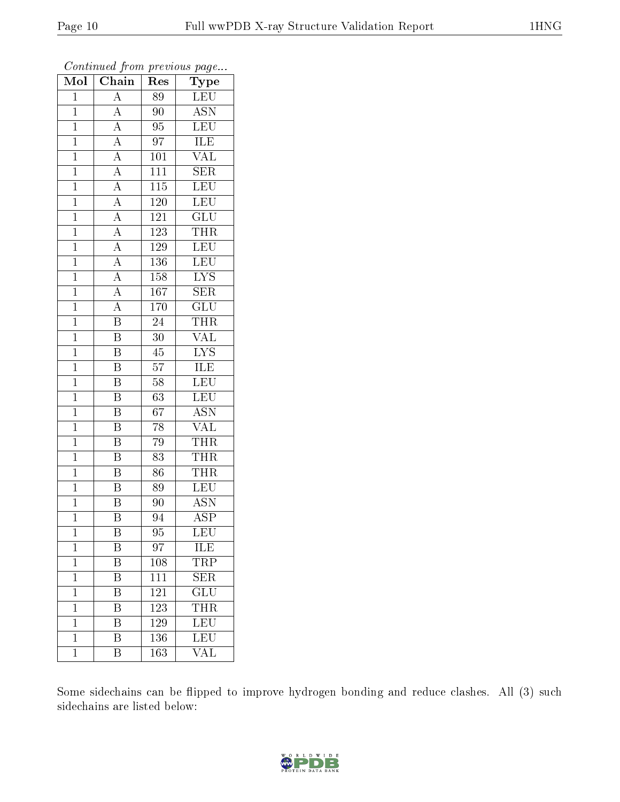| Mol            | $\overline{\text{Chain}}$           | $\operatorname{Res}% \left( \mathcal{N}\right) \equiv\operatorname{Res}(\mathcal{N}_{0})\left( \mathcal{N}_{0}\right) ^{2}$ | Type                        |
|----------------|-------------------------------------|-----------------------------------------------------------------------------------------------------------------------------|-----------------------------|
| $\overline{1}$ | $\overline{A}$                      | 89                                                                                                                          | <b>LEU</b>                  |
| $\mathbf{1}$   | $\overline{\rm A}$                  | 90                                                                                                                          | $\overline{\text{ASN}}$     |
| $\overline{1}$ | $\overline{A}$                      | $\overline{95}$                                                                                                             | <b>LEU</b>                  |
| $\mathbf{1}$   | $\overline{A}$                      | 97                                                                                                                          | ILE                         |
| $\mathbf{1}$   |                                     | 101                                                                                                                         | $\overline{\text{VAL}}$     |
| $\mathbf{1}$   | $\frac{\overline{A}}{\overline{A}}$ | 111                                                                                                                         | $\overline{\text{SER}}$     |
| $\overline{1}$ | $\overline{A}$                      | $\overline{115}$                                                                                                            | <b>LEU</b>                  |
| $\mathbf{1}$   | $\overline{A}$                      | 120                                                                                                                         | LEU                         |
| $\mathbf 1$    | $\overline{A}$                      | 121                                                                                                                         | GLU                         |
| $\mathbf{1}$   | $\overline{A}$                      | <sup>123</sup>                                                                                                              | <b>THR</b>                  |
| $\overline{1}$ | $\overline{A}$                      | 129                                                                                                                         | $\overline{\text{LEU}}$     |
| $\overline{1}$ | $\overline{A}$                      | 136                                                                                                                         | $\overline{\text{LEU}}$     |
| $\overline{1}$ | $\overline{A}$                      | 158                                                                                                                         | $\overline{\text{LYS}}$     |
| $\mathbf{1}$   | $\overline{A}$                      | 167                                                                                                                         | <b>SER</b>                  |
| $\overline{1}$ | $\overline{A}$                      | 170                                                                                                                         | $\overline{\text{GLU}}$     |
| $\overline{1}$ | $\overline{\mathrm{B}}$             | $24\,$                                                                                                                      | <b>THR</b>                  |
| $\overline{1}$ | $\overline{\mathrm{B}}$             | $\overline{30}$                                                                                                             | $\overline{\text{VAL}}$     |
| $\mathbf{1}$   | $\overline{\mathrm{B}}$             | 45                                                                                                                          | $\overline{LYS}$            |
| $\mathbf{1}$   | $\overline{\mathrm{B}}$             | 57                                                                                                                          | $\overline{\text{ILE}}$     |
| $\mathbf{1}$   | $\overline{\mathrm{B}}$             | $58\,$                                                                                                                      | LEU                         |
| $\mathbf{1}$   | $\overline{\mathrm{B}}$             | 63                                                                                                                          | <b>LEU</b>                  |
| $\overline{1}$ | $\overline{\mathrm{B}}$             | 67                                                                                                                          | <b>ASN</b>                  |
| $\mathbf 1$    | Β                                   | 78                                                                                                                          | $\overline{\text{VAL}}$     |
| $\mathbf 1$    | $\overline{\mathrm{B}}$             | 79                                                                                                                          | THR                         |
| $\mathbf{1}$   | $\overline{\mathrm{B}}$             | $\overline{83}$                                                                                                             | <b>THR</b>                  |
| $\overline{1}$ | $\overline{\mathrm{B}}$             | 86                                                                                                                          | <b>THR</b>                  |
| $\overline{1}$ | $\overline{\mathrm{B}}$             | $\overline{89}$                                                                                                             | LEU                         |
| $\mathbf 1$    | $\overline{\mathrm{B}}$             | 90                                                                                                                          | <b>ASN</b>                  |
| $\mathbf 1$    | $\overline{\mathrm{B}}$             | 94                                                                                                                          | $\overline{\text{ASP}}$     |
| $\mathbf 1$    | B                                   | 95                                                                                                                          | LEU                         |
| $\overline{1}$ | Β                                   | $9\overline{7}$                                                                                                             | $1\overline{L}\overline{E}$ |
| $\overline{1}$ | $\overline{\mathrm{B}}$             | 108                                                                                                                         | <b>TRP</b>                  |
| $\mathbf 1$    | $\overline{\mathrm{B}}$             | 111                                                                                                                         | <b>SER</b>                  |
| $\mathbf 1$    | $\overline{\mathrm{B}}$             | 121                                                                                                                         | $\overline{{\rm GLU}}$      |
| $\mathbf{1}$   | $\overline{\textrm{B}}$             | 123                                                                                                                         | <b>THR</b>                  |
| $\mathbf 1$    | Β                                   | 129                                                                                                                         | $\overline{\text{LEU}}$     |
| $\mathbf 1$    | $\overline{\mathrm{B}}$             | 136                                                                                                                         | LEU                         |
| $\mathbf{1}$   | Β                                   | 163                                                                                                                         | VAL                         |

Continued from previous page...

Some sidechains can be flipped to improve hydrogen bonding and reduce clashes. All (3) such sidechains are listed below:

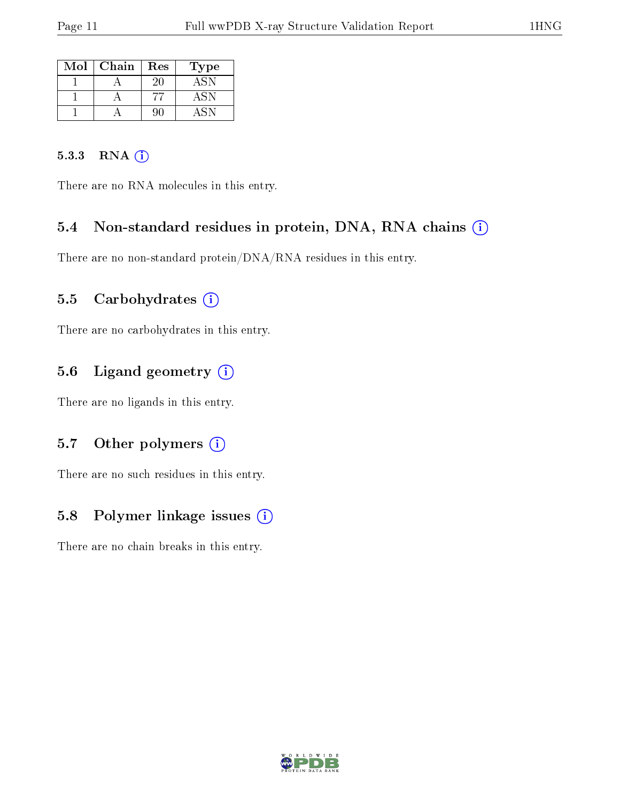| Mol | Chain | Res | l'ype |
|-----|-------|-----|-------|
|     |       | 20  |       |
|     |       |     | ΔSΝ   |
|     |       |     |       |

#### 5.3.3 RNA (i)

There are no RNA molecules in this entry.

### 5.4 Non-standard residues in protein, DNA, RNA chains (i)

There are no non-standard protein/DNA/RNA residues in this entry.

#### 5.5 Carbohydrates  $(i)$

There are no carbohydrates in this entry.

### 5.6 Ligand geometry  $(i)$

There are no ligands in this entry.

#### 5.7 [O](https://www.wwpdb.org/validation/2017/XrayValidationReportHelp#nonstandard_residues_and_ligands)ther polymers  $(i)$

There are no such residues in this entry.

### 5.8 Polymer linkage issues  $(i)$

There are no chain breaks in this entry.